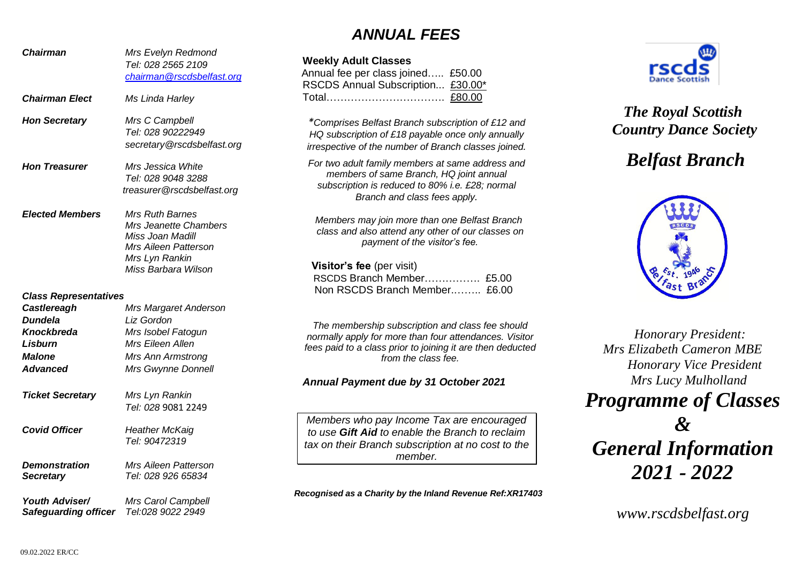## *ANNUAL FEES*

| <b>Chairman</b>                          | Mrs Evelyn Redmond<br>Tel: 028 2565 2109<br>chairman@rscdsbelfast.org                              | <b>Weekly Adı</b><br>Annual fee p<br><b>RSCDS Anr</b> |
|------------------------------------------|----------------------------------------------------------------------------------------------------|-------------------------------------------------------|
| <b>Chairman Elect</b>                    | Ms Linda Harley                                                                                    | Total                                                 |
| <b>Hon Secretary</b>                     | Mrs C Campbell<br>Tel: 028 90222949<br>secretary@rscdsbelfast.org                                  | *Comprises<br>HQ subscri<br>irrespective              |
| <b>Hon Treasurer</b>                     | Mrs Jessica White<br>Tel: 028 9048 3288<br>treasurer@rscdsbelfast.org                              | For two adu<br>membe<br>subscripti                    |
| <b>Elected Members</b>                   | <b>Mrs Ruth Barnes</b><br>Mrs Jeanette Chambers<br>Miss Joan Madill<br><b>Mrs Aileen Patterson</b> | Members<br>class and                                  |
|                                          | Mrs Lyn Rankin<br>Miss Barbara Wilson                                                              | Visitor's 1<br><b>RSCDS B</b>                         |
| <b>Class Representatives</b>             |                                                                                                    | Non RSC                                               |
| Castlereagh                              | Mrs Margaret Anderson                                                                              |                                                       |
| <b>Dundela</b>                           | Liz Gordon                                                                                         | The memb                                              |
| Knockbreda                               | Mrs Isobel Fatogun                                                                                 | normally ap                                           |
| <b>Lisburn</b>                           | Mrs Eileen Allen                                                                                   | fees paid to                                          |
| <b>Malone</b>                            | <b>Mrs Ann Armstrong</b>                                                                           |                                                       |
| <b>Advanced</b>                          | Mrs Gwynne Donnell                                                                                 |                                                       |
|                                          |                                                                                                    | <b>Annual Pay</b>                                     |
| <b>Ticket Secretary</b>                  | Mrs Lyn Rankin                                                                                     |                                                       |
|                                          | Tel: 028 9081 2249                                                                                 |                                                       |
| <b>Covid Officer</b>                     | <b>Heather McKaig</b><br>Tel: 90472319                                                             | Members v<br>to use Gift<br>tax on their              |
| <b>Demonstration</b><br><b>Secretary</b> | <b>Mrs Aileen Patterson</b><br>Tel: 028 926 65834                                                  |                                                       |
| Youth Adviser/                           | Mrs Carol Campbell<br>Safeguarding officer Tel:028 9022 2949                                       | Recognised as                                         |

### **Weekly Adult Classes** oer class joined….. £50.00 nual Subscription... £30.00\* Total……………………………. £80.00 *\*Comprises Belfast Branch subscription of £12 and HQ subscription of £18 payable once only annually*   $of$  *the number of Branch classes joined. For two adult family members at same address and members of same Branch, HQ joint annual subscription is reduced to 80% i.e. £28; normal Branch and class fees apply. Members may join more than one Belfast Branch class and also attend any other of our classes on payment of the visitor's fee.* **fee** (per visit) ranch Member............... £5.00 DS Branch Member......... £6.00 *The membership subscription and class fee should normally apply for more than four attendances. Visitor fees paid to a class prior to joining it are then deducted*

#### *Annual Payment due by 31 October 2021*

*Members who pay Income Tax are encouraged*  **Aid** to enable the Branch to reclaim *Branch subscription at no cost to the member.*

*from the class fee.*

a Charity by the Inland Revenue Ref:XR17403



## *The Royal Scottish Country Dance Society*

# *Belfast Branch*



 *Honorary President: Mrs Elizabeth Cameron MBE Honorary Vice President Mrs Lucy Mulholland*

*Programme of Classes*

*& General Information 2021 - 2022*